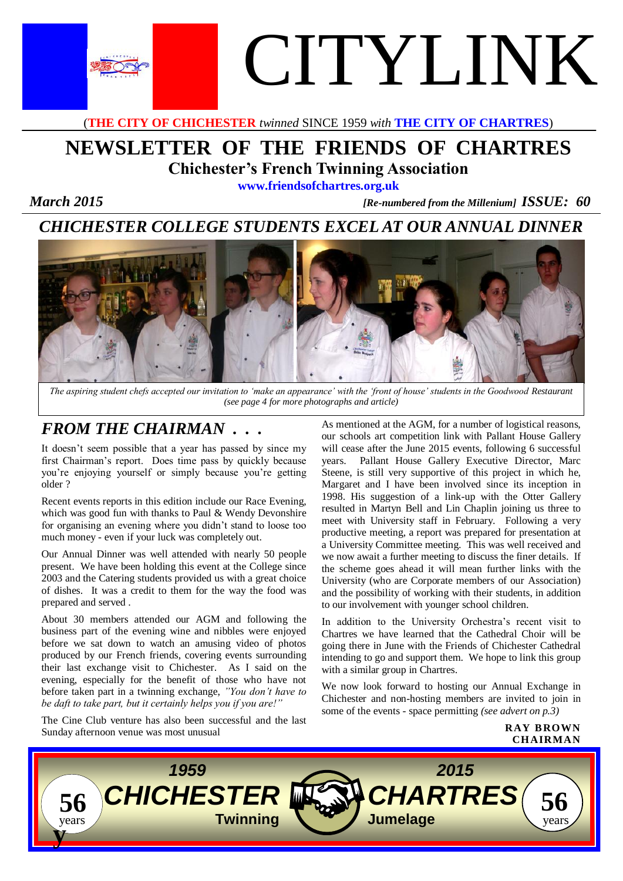

(**THE CITY OF CHICHESTER** *twinned* SINCE 1959 *with* **THE CITY OF CHARTRES**)

# **NEWSLETTER OF THE FRIENDS OF CHARTRES Chichester's French Twinning Association**

**www.friendsofchartres.org.uk**

 *March 2015 [Re-numbered from the Millenium] ISSUE: 60*

# *CHICHESTER COLLEGE STUDENTS EXCEL AT OUR ANNUAL DINNER*



*The aspiring student chefs accepted our invitation to 'make an appearance' with the 'front of house' students in the Goodwood Restaurant (see page 4 for more photographs and article)*

## *FROM THE CHAIRMAN . . .*

It doesn't seem possible that a year has passed by since my first Chairman's report. Does time pass by quickly because you're enjoying yourself or simply because you're getting older ?

Recent events reports in this edition include our Race Evening, which was good fun with thanks to Paul & Wendy Devonshire for organising an evening where you didn't stand to loose too much money - even if your luck was completely out.

Our Annual Dinner was well attended with nearly 50 people present. We have been holding this event at the College since 2003 and the Catering students provided us with a great choice of dishes. It was a credit to them for the way the food was prepared and served .

About 30 members attended our AGM and following the business part of the evening wine and nibbles were enjoyed before we sat down to watch an amusing video of photos produced by our French friends, covering events surrounding their last exchange visit to Chichester. As I said on the evening, especially for the benefit of those who have not before taken part in a twinning exchange, *"You don't have to be daft to take part, but it certainly helps you if you are!"*

The Cine Club venture has also been successful and the last Sunday afternoon venue was most unusual

As mentioned at the AGM, for a number of logistical reasons, our schools art competition link with Pallant House Gallery will cease after the June 2015 events, following 6 successful years. Pallant House Gallery Executive Director, Marc Steene, is still very supportive of this project in which he, Margaret and I have been involved since its inception in 1998. His suggestion of a link-up with the Otter Gallery resulted in Martyn Bell and Lin Chaplin joining us three to meet with University staff in February. Following a very productive meeting, a report was prepared for presentation at a University Committee meeting. This was well received and we now await a further meeting to discuss the finer details. If the scheme goes ahead it will mean further links with the University (who are Corporate members of our Association) and the possibility of working with their students, in addition to our involvement with younger school children.

In addition to the University Orchestra's recent visit to Chartres we have learned that the Cathedral Choir will be going there in June with the Friends of Chichester Cathedral intending to go and support them. We hope to link this group with a similar group in Chartres.

We now look forward to hosting our Annual Exchange in Chichester and non-hosting members are invited to join in some of the events - space permitting *(see advert on p.3)*



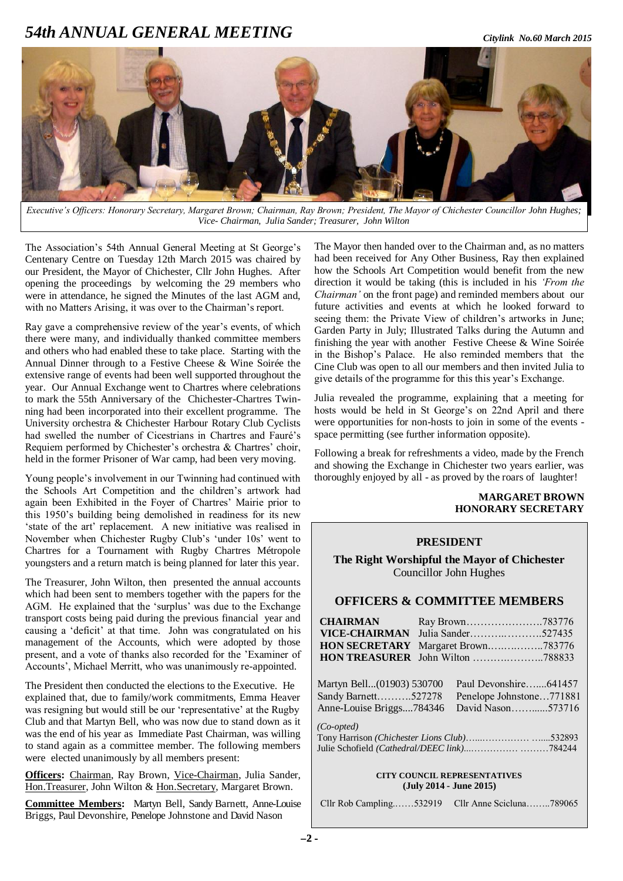## *54th ANNUAL GENERAL MEETING Citylink No.60 March 2015*



*Executive's Officers: Honorary Secretary, Margaret Brown; Chairman, Ray Brown; President, The Mayor of Chichester Councillor John Hughes; Vice- Chairman, Julia Sander; Treasurer, John Wilton*

The Association's 54th Annual General Meeting at St George's Centenary Centre on Tuesday 12th March 2015 was chaired by our President, the Mayor of Chichester, Cllr John Hughes. After opening the proceedings by welcoming the 29 members who were in attendance, he signed the Minutes of the last AGM and, with no Matters Arising, it was over to the Chairman's report.

Ray gave a comprehensive review of the year's events, of which there were many, and individually thanked committee members and others who had enabled these to take place. Starting with the Annual Dinner through to a Festive Cheese & Wine Soirée the extensive range of events had been well supported throughout the year. Our Annual Exchange went to Chartres where celebrations to mark the 55th Anniversary of the Chichester-Chartres Twinning had been incorporated into their excellent programme. The University orchestra & Chichester Harbour Rotary Club Cyclists had swelled the number of Cicestrians in Chartres and Fauré's Requiem performed by Chichester's orchestra & Chartres' choir, held in the former Prisoner of War camp, had been very moving.

Young people's involvement in our Twinning had continued with the Schools Art Competition and the children's artwork had again been Exhibited in the Foyer of Chartres' Mairie prior to this 1950's building being demolished in readiness for its new 'state of the art' replacement. A new initiative was realised in November when Chichester Rugby Club's 'under 10s' went to Chartres for a Tournament with Rugby Chartres Métropole youngsters and a return match is being planned for later this year.

The Treasurer, John Wilton, then presented the annual accounts which had been sent to members together with the papers for the AGM. He explained that the 'surplus' was due to the Exchange transport costs being paid during the previous financial year and causing a 'deficit' at that time. John was congratulated on his management of the Accounts, which were adopted by those present, and a vote of thanks also recorded for the 'Examiner of Accounts', Michael Merritt, who was unanimously re-appointed.

The President then conducted the elections to the Executive. He explained that, due to family/work commitments, Emma Heaver was resigning but would still be our 'representative' at the Rugby Club and that Martyn Bell, who was now due to stand down as it was the end of his year as Immediate Past Chairman, was willing to stand again as a committee member. The following members were elected unanimously by all members present:

**Officers:** Chairman, Ray Brown, Vice-Chairman, Julia Sander, Hon.Treasurer, John Wilton & Hon.Secretary, Margaret Brown.

**Committee Members:** Martyn Bell, Sandy Barnett, Anne-Louise Briggs, Paul Devonshire, Penelope Johnstone and David Nason

The Mayor then handed over to the Chairman and, as no matters had been received for Any Other Business, Ray then explained how the Schools Art Competition would benefit from the new direction it would be taking (this is included in his *'From the Chairman'* on the front page) and reminded members about our future activities and events at which he looked forward to seeing them: the Private View of children's artworks in June; Garden Party in July; Illustrated Talks during the Autumn and finishing the year with another Festive Cheese & Wine Soirée in the Bishop's Palace. He also reminded members that the Cine Club was open to all our members and then invited Julia to give details of the programme for this this year's Exchange.

Julia revealed the programme, explaining that a meeting for hosts would be held in St George's on 22nd April and there were opportunities for non-hosts to join in some of the events space permitting (see further information opposite).

Following a break for refreshments a video, made by the French and showing the Exchange in Chichester two years earlier, was thoroughly enjoyed by all - as proved by the roars of laughter!

#### **MARGARET BROWN HONORARY SECRETARY**

### **PRESIDENT**

**The Right Worshipful the Mayor of Chichester** Councillor John Hughes

### **OFFICERS & COMMITTEE MEMBERS**

| <b>CHAIRMAN</b>           |                                             |  |
|---------------------------|---------------------------------------------|--|
| <b>VICE-CHAIRMAN</b>      |                                             |  |
| <b>HON SECRETARY</b>      | Margaret Brown783776                        |  |
|                           |                                             |  |
| Martyn Bell(01903) 530700 | Paul Devonshire641457                       |  |
| Sandy Barnett527278       | Penelope Johnstone771881                    |  |
| Anne-Louise Briggs784346  | David Nason573716                           |  |
| $(Co-opted)$              | Tony Harrison (Chichester Lions Club)532893 |  |

### **CITY COUNCIL REPRESENTATIVES (July 2014 - June 2015)**

Julie Schofield *(Cathedral/DEEC link)*...…………… ………784244

| Cllr Rob Campling532919 | Cllr Anne Scicluna789065 |  |
|-------------------------|--------------------------|--|
|-------------------------|--------------------------|--|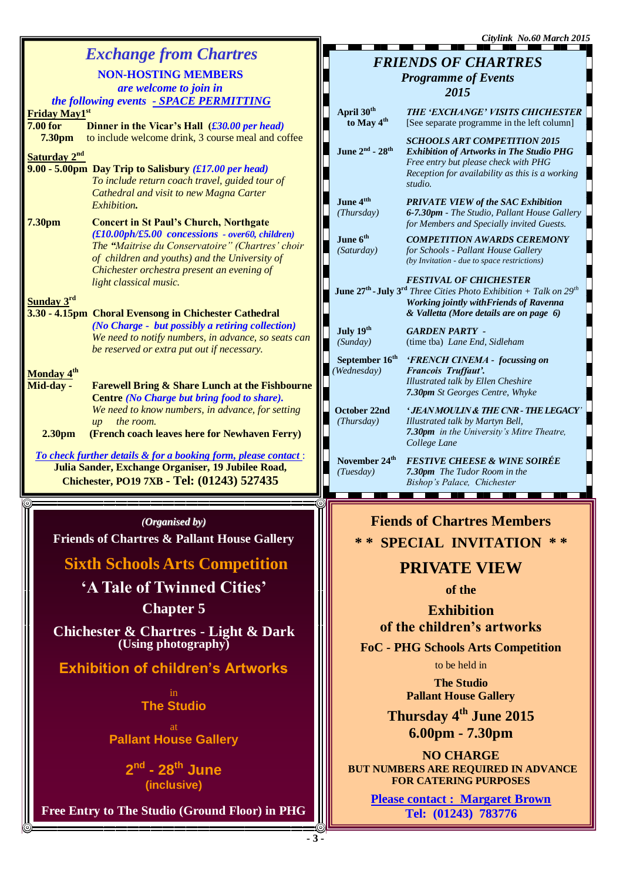|                                                    |                                                                |                                           | Citylink No.60 March 2015                                                                                  |  |
|----------------------------------------------------|----------------------------------------------------------------|-------------------------------------------|------------------------------------------------------------------------------------------------------------|--|
|                                                    | <b>Exchange from Chartres</b>                                  |                                           | <b>FRIENDS OF CHARTRES</b>                                                                                 |  |
|                                                    | <b>NON-HOSTING MEMBERS</b>                                     |                                           |                                                                                                            |  |
|                                                    | are welcome to join in                                         |                                           | <b>Programme of Events</b>                                                                                 |  |
|                                                    |                                                                |                                           | 2015                                                                                                       |  |
|                                                    | the following events - SPACE PERMITTING                        | April 30th                                | THE 'EXCHANGE' VISITS CHICHESTER                                                                           |  |
| Friday May1st                                      |                                                                | to May 4 <sup>th</sup>                    | [See separate programme in the left column]                                                                |  |
| <b>7.00 for</b>                                    | Dinner in the Vicar's Hall (£30.00 per head)                   |                                           |                                                                                                            |  |
| 7.30pm                                             | to include welcome drink, 3 course meal and coffee             |                                           | <b>SCHOOLS ART COMPETITION 2015</b>                                                                        |  |
| Saturday 2 <sup>nd</sup>                           |                                                                | June $2^{nd}$ - $28^{th}$                 | <b>Exhibition of Artworks in The Studio PHG</b>                                                            |  |
|                                                    | 9.00 - 5.00pm Day Trip to Salisbury (£17.00 per head)          |                                           | Free entry but please check with PHG<br>Reception for availability as this is a working                    |  |
|                                                    | To include return coach travel, guided tour of                 |                                           | studio.                                                                                                    |  |
|                                                    | Cathedral and visit to new Magna Carter                        |                                           |                                                                                                            |  |
|                                                    | Exhibition.                                                    | June 4 <sup>tth</sup>                     | <b>PRIVATE VIEW of the SAC Exhibition</b>                                                                  |  |
| 7.30pm                                             | <b>Concert in St Paul's Church, Northgate</b>                  | (Thursday)                                | 6-7.30pm - The Studio, Pallant House Gallery                                                               |  |
|                                                    | $(f10.00ph/f5.00$ concessions - over60, children)              |                                           | for Members and Specially invited Guests.                                                                  |  |
|                                                    | The "Maitrise du Conservatoire" (Chartres' choir               | June 6 <sup>th</sup>                      | <b>COMPETITION AWARDS CEREMONY</b>                                                                         |  |
|                                                    | of children and youths) and the University of                  | (Saturday)                                | for Schools - Pallant House Gallery                                                                        |  |
|                                                    | Chichester orchestra present an evening of                     |                                           | (by Invitation - due to space restrictions)                                                                |  |
|                                                    | light classical music.                                         |                                           | <b>FESTIVAL OF CHICHESTER</b>                                                                              |  |
|                                                    |                                                                |                                           | <b>June 27<sup>th</sup></b> - <b>July 3<sup>rd</sup></b> Three Cities Photo Exhibition + Talk on $29^{th}$ |  |
| Sunday 3rd                                         |                                                                |                                           | <b>Working jointly with Friends of Ravenna</b>                                                             |  |
|                                                    | 3.30 - 4.15pm Choral Evensong in Chichester Cathedral          |                                           | & Valletta (More details are on page 6)                                                                    |  |
|                                                    | (No Charge - but possibly a retiring collection)               | July 19th                                 | <b>GARDEN PARTY -</b>                                                                                      |  |
|                                                    | We need to notify numbers, in advance, so seats can            | (Sunday)                                  | (time tba) Lane End, Sidleham                                                                              |  |
|                                                    | be reserved or extra put out if necessary.                     |                                           |                                                                                                            |  |
|                                                    |                                                                | September 16 <sup>th</sup><br>(Wednesday) | 'FRENCH CINEMA - focussing on<br>Francois Truffaut'.                                                       |  |
| Monday 4 <sup>th</sup>                             |                                                                |                                           | Illustrated talk by Ellen Cheshire                                                                         |  |
| Mid-day -                                          | <b>Farewell Bring &amp; Share Lunch at the Fishbourne</b>      |                                           | 7.30pm St Georges Centre, Whyke                                                                            |  |
|                                                    | Centre (No Charge but bring food to share).                    |                                           |                                                                                                            |  |
|                                                    | We need to know numbers, in advance, for setting               | October 22nd                              | ' JEAN MOULIN & THE CNR - THE LEGACY'                                                                      |  |
|                                                    | the room.<br>$\mu$                                             | (Thursday)                                | Illustrated talk by Martyn Bell,<br>7.30pm in the University's Mitre Theatre,                              |  |
| 2.30 <sub>pm</sub>                                 | (French coach leaves here for Newhaven Ferry)                  |                                           | College Lane                                                                                               |  |
|                                                    | To check further details & for a booking form, please contact: |                                           |                                                                                                            |  |
| Julia Sander, Exchange Organiser, 19 Jubilee Road, |                                                                | November 24 <sup>th</sup>                 | <b>FESTIVE CHEESE &amp; WINE SOIRÉE</b>                                                                    |  |
| Chichester, PO19 7XB - Tel: (01243) 527435         |                                                                | (Tuesday)                                 | 7.30pm The Tudor Room in the<br>Bishop's Palace, Chichester                                                |  |
|                                                    |                                                                |                                           |                                                                                                            |  |

### *(Organised by)*

**Friends of Chartres & Pallant House Gallery**

**Sixth Schools Arts Competition**

**'A Tale of Twinned Cities' Chapter 5**

**Chichester & Chartres - Light & Dark (Using photography)**

**Exhibition of children's Artworks**

in **The Studio** 

at **Pallant House Gallery**

> **2 nd - 28th June (inclusive)**

**Free Entry to The Studio (Ground Floor) in PHG**

# **Fiends of Chartres Members \* \* SPECIAL INVITATION \* \***

## **PRIVATE VIEW**

**of the** 

**Exhibition of the children's artworks**

**FoC - PHG Schools Arts Competition**

to be held in

**The Studio Pallant House Gallery**

**Thursday 4th June 2015 6.00pm - 7.30pm**

**NO CHARGE BUT NUMBERS ARE REQUIRED IN ADVANCE FOR CATERING PURPOSES**

**Please contact : Margaret Brown Tel: (01243) 783776**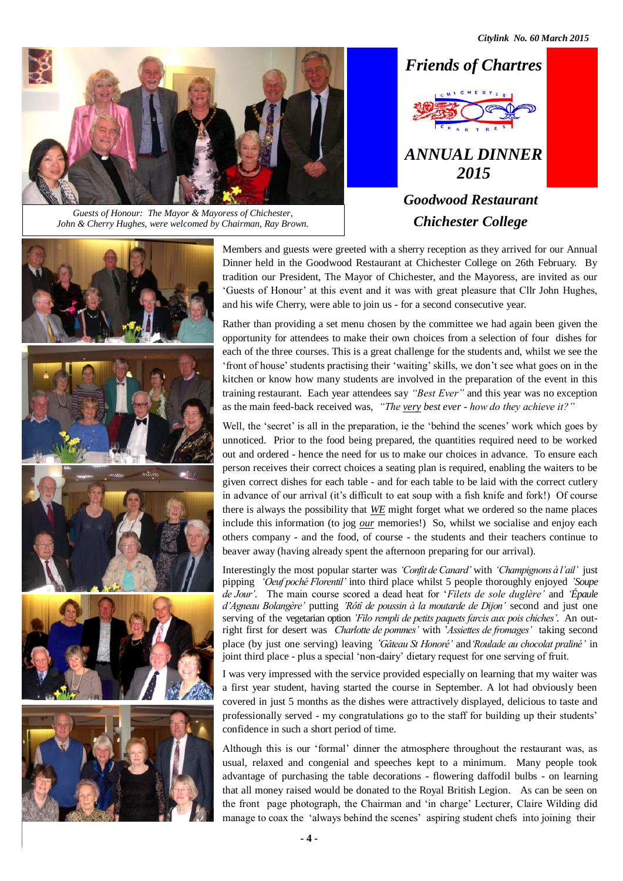*Citylink No. 60 March 2015*



*Chichester College Guests of Honour: The Mayor & Mayoress of Chichester, John & Cherry Hughes, were welcomed by Chairman, Ray Brown.*





Members and guests were greeted with a sherry reception as they arrived for our Annual Dinner held in the Goodwood Restaurant at Chichester College on 26th February. By tradition our President, The Mayor of Chichester, and the Mayoress, are invited as our 'Guests of Honour' at this event and it was with great pleasure that Cllr John Hughes, and his wife Cherry, were able to join us - for a second consecutive year.

Rather than providing a set menu chosen by the committee we had again been given the opportunity for attendees to make their own choices from a selection of four dishes for each of the three courses. This is a great challenge for the students and, whilst we see the 'front of house' students practising their 'waiting' skills, we don't see what goes on in the kitchen or know how many students are involved in the preparation of the event in this training restaurant. Each year attendees say *"Best Ever"* and this year was no exception as the main feed-back received was, *"The very best ever - how do they achieve it?"* 

Well, the 'secret' is all in the preparation, ie the 'behind the scenes' work which goes by unnoticed. Prior to the food being prepared, the quantities required need to be worked out and ordered - hence the need for us to make our choices in advance. To ensure each person receives their correct choices a seating plan is required, enabling the waiters to be given correct dishes for each table - and for each table to be laid with the correct cutlery in advance of our arrival (it's difficult to eat soup with a fish knife and fork!) Of course there is always the possibility that *WE* might forget what we ordered so the name places include this information (to jog *our* memories!) So, whilst we socialise and enjoy each others company - and the food, of course - the students and their teachers continue to beaver away (having already spent the afternoon preparing for our arrival).

Interestingly the most popular starter was *'Confit de Canard'* with *'Champignons à l'ail'* just pipping *'Oeuf poché Florentil'* into third place whilst 5 people thoroughly enjoyed *'Soupe de Jour'*. The main course scored a dead heat for '*Filets de sole duglère'* and *'Épaule d'Agneau Bolangère'* putting *'Rôtî de poussin à la moutarde de Dijon'* second and just one serving of the vegetarian option *'Filo rempli de petits paquets farcis aux pois chiches'*. An outright first for desert was *Charlotte de pommes'* with '*Assiettes de fromages'* taking second place (by just one serving) leaving *'Gâteau St Honoré'* and*'Roulade au chocolat praliné'* in joint third place - plus a special 'non-dairy' dietary request for one serving of fruit.

I was very impressed with the service provided especially on learning that my waiter was a first year student, having started the course in September. A lot had obviously been covered in just 5 months as the dishes were attractively displayed, delicious to taste and professionally served - my congratulations go to the staff for building up their students' confidence in such a short period of time.

Although this is our 'formal' dinner the atmosphere throughout the restaurant was, as usual, relaxed and congenial and speeches kept to a minimum. Many people took advantage of purchasing the table decorations - flowering daffodil bulbs - on learning that all money raised would be donated to the Royal British Legion. As can be seen on the front page photograph, the Chairman and 'in charge' Lecturer, Claire Wilding did manage to coax the 'always behind the scenes' aspiring student chefs into joining their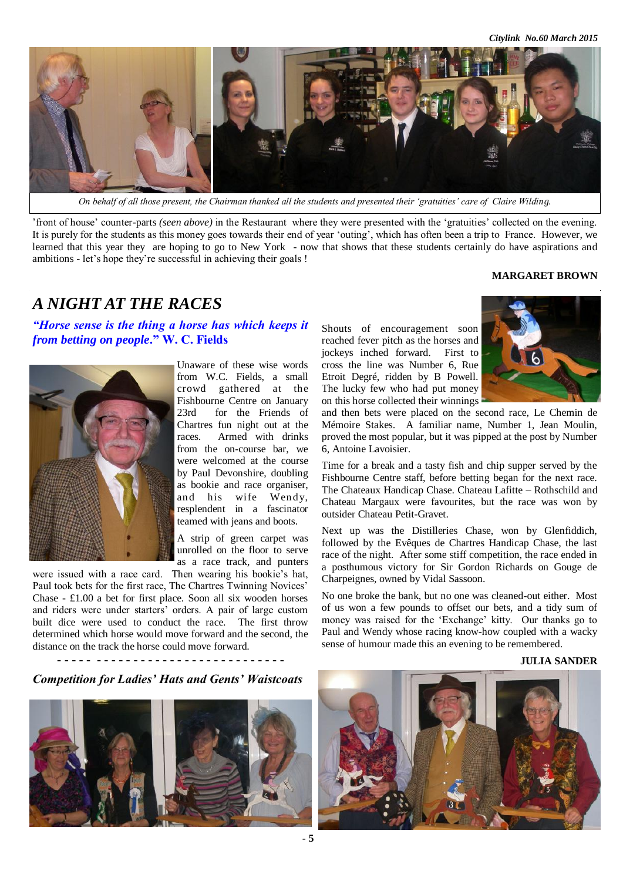*Citylink No.60 March 2015*



*On behalf of all those present, the Chairman thanked all the students and presented their 'gratuities' care of Claire Wilding.*

'front of house' counter-parts *(seen above)* in the Restaurant where they were presented with the 'gratuities' collected on the evening. It is purely for the students as this money goes towards their end of year 'outing', which has often been a trip to France. However, we learned that this year they are hoping to go to New York - now that shows that these students certainly do have aspirations and ambitions - let's hope they're successful in achieving their goals !

#### **MARGARET BROWN**

## *A NIGHT AT THE RACES*

*"Horse sense is the thing a horse has which keeps it from betting on people***." W. C. Fields**



Unaware of these wise words from W.C. Fields, a small crowd gathered at the Fishbourne Centre on January 23rd for the Friends of Chartres fun night out at the races. Armed with drinks from the on-course bar, we were welcomed at the course by Paul Devonshire, doubling as bookie and race organiser, and his wife Wendy, resplendent in a fascinator teamed with jeans and boots.

A strip of green carpet was unrolled on the floor to serve as a race track, and punters

were issued with a race card. Then wearing his bookie's hat, Paul took bets for the first race, The Chartres Twinning Novices' Chase - £1.00 a bet for first place. Soon all six wooden horses and riders were under starters' orders. A pair of large custom built dice were used to conduct the race. The first throw determined which horse would move forward and the second, the distance on the track the horse could move forward.

**- - - - - - - - - - - - - - - - - - - - - - - - - - - - - - -**

### *Competition for Ladies' Hats and Gents' Waistcoats*



Shouts of encouragement soon reached fever pitch as the horses and jockeys inched forward. First to cross the line was Number 6, Rue Etroit Degré, ridden by B Powell. The lucky few who had put money on this horse collected their winnings



and then bets were placed on the second race, Le Chemin de Mémoire Stakes. A familiar name, Number 1, Jean Moulin, proved the most popular, but it was pipped at the post by Number 6, Antoine Lavoisier.

Time for a break and a tasty fish and chip supper served by the Fishbourne Centre staff, before betting began for the next race. The Chateaux Handicap Chase. Chateau Lafitte – Rothschild and Chateau Margaux were favourites, but the race was won by outsider Chateau Petit-Gravet.

Next up was the Distilleries Chase, won by Glenfiddich, followed by the Evêques de Chartres Handicap Chase, the last race of the night. After some stiff competition, the race ended in a posthumous victory for Sir Gordon Richards on Gouge de Charpeignes, owned by Vidal Sassoon.

No one broke the bank, but no one was cleaned-out either. Most of us won a few pounds to offset our bets, and a tidy sum of money was raised for the 'Exchange' kitty. Our thanks go to Paul and Wendy whose racing know-how coupled with a wacky sense of humour made this an evening to be remembered.

#### **JULIA SANDER**

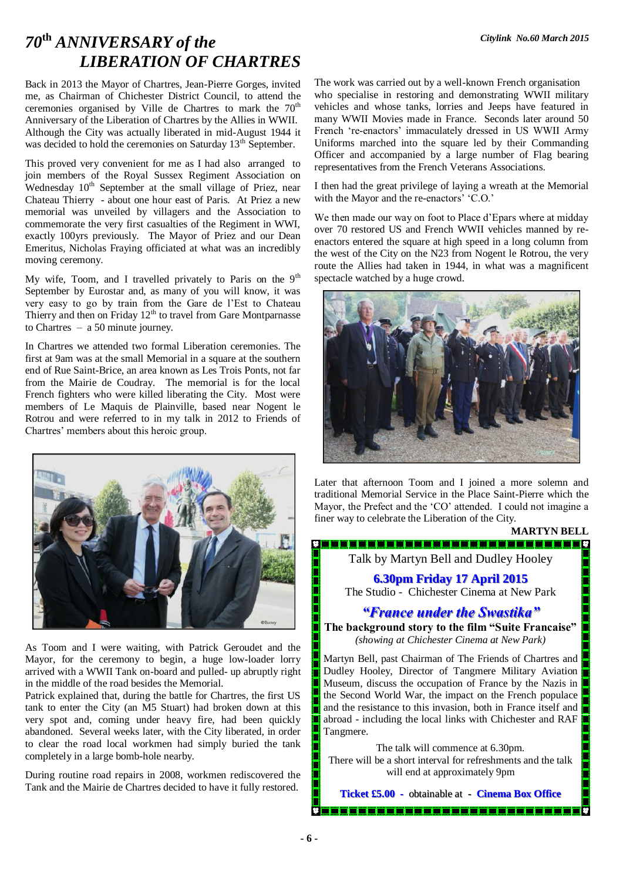## *Citylink No.60 March 2015 70***th** *ANNIVERSARY of the LIBERATION OF CHARTRES*

Back in 2013 the Mayor of Chartres, Jean-Pierre Gorges, invited me, as Chairman of Chichester District Council, to attend the ceremonies organised by Ville de Chartres to mark the  $70<sup>th</sup>$ Anniversary of the Liberation of Chartres by the Allies in WWII. Although the City was actually liberated in mid-August 1944 it was decided to hold the ceremonies on Saturday 13<sup>th</sup> September.

This proved very convenient for me as I had also arranged to join members of the Royal Sussex Regiment Association on Wednesday 10<sup>th</sup> September at the small village of Priez, near Chateau Thierry - about one hour east of Paris. At Priez a new memorial was unveiled by villagers and the Association to commemorate the very first casualties of the Regiment in WWI, exactly 100yrs previously. The Mayor of Priez and our Dean Emeritus, Nicholas Fraying officiated at what was an incredibly moving ceremony.

My wife, Toom, and I travelled privately to Paris on the  $9<sup>th</sup>$ September by Eurostar and, as many of you will know, it was very easy to go by train from the Gare de l'Est to Chateau Thierry and then on Friday  $12<sup>th</sup>$  to travel from Gare Montparnasse to Chartres – a 50 minute journey.

In Chartres we attended two formal Liberation ceremonies. The first at 9am was at the small Memorial in a square at the southern end of Rue Saint-Brice, an area known as Les Trois Ponts, not far from the Mairie de Coudray. The memorial is for the local French fighters who were killed liberating the City. Most were members of Le Maquis de Plainville, based near Nogent le Rotrou and were referred to in my talk in 2012 to Friends of Chartres' members about this heroic group.



As Toom and I were waiting, with Patrick Geroudet and the Mayor, for the ceremony to begin, a huge low-loader lorry arrived with a WWII Tank on-board and pulled- up abruptly right in the middle of the road besides the Memorial.

Patrick explained that, during the battle for Chartres, the first US tank to enter the City (an M5 Stuart) had broken down at this very spot and, coming under heavy fire, had been quickly abandoned. Several weeks later, with the City liberated, in order to clear the road local workmen had simply buried the tank completely in a large bomb-hole nearby.

During routine road repairs in 2008, workmen rediscovered the Tank and the Mairie de Chartres decided to have it fully restored.

The work was carried out by a well-known French organisation who specialise in restoring and demonstrating WWII military vehicles and whose tanks, lorries and Jeeps have featured in many WWII Movies made in France. Seconds later around 50 French 're-enactors' immaculately dressed in US WWII Army Uniforms marched into the square led by their Commanding Officer and accompanied by a large number of Flag bearing representatives from the French Veterans Associations.

I then had the great privilege of laying a wreath at the Memorial with the Mayor and the re-enactors' 'C.O.'

We then made our way on foot to Place d'Epars where at midday over 70 restored US and French WWII vehicles manned by reenactors entered the square at high speed in a long column from the west of the City on the N23 from Nogent le Rotrou, the very route the Allies had taken in 1944, in what was a magnificent spectacle watched by a huge crowd.



Later that afternoon Toom and I joined a more solemn and traditional Memorial Service in the Place Saint-Pierre which the Mayor, the Prefect and the 'CO' attended. I could not imagine a finer way to celebrate the Liberation of the City.

**MARTYN BELL**

Talk by Martyn Bell and Dudley Hooley

**6.30pm Friday 17 April 2015** The Studio - Chichester Cinema at New Park

### *"France under the Swastika"*

**The background story to the film "Suite Francaise"** *(showing at Chichester Cinema at New Park)*

Martyn Bell, past Chairman of The Friends of Chartres and Dudley Hooley, Director of Tangmere Military Aviation Museum, discuss the occupation of France by the Nazis in the Second World War, the impact on the French populace and the resistance to this invasion, both in France itself and abroad - including the local links with Chichester and RAF Tangmere.

The talk will commence at 6.30pm. There will be a short interval for refreshments and the talk will end at approximately 9pm

**Ticket £5.00 -** obtainable at - **Cinema Box Office**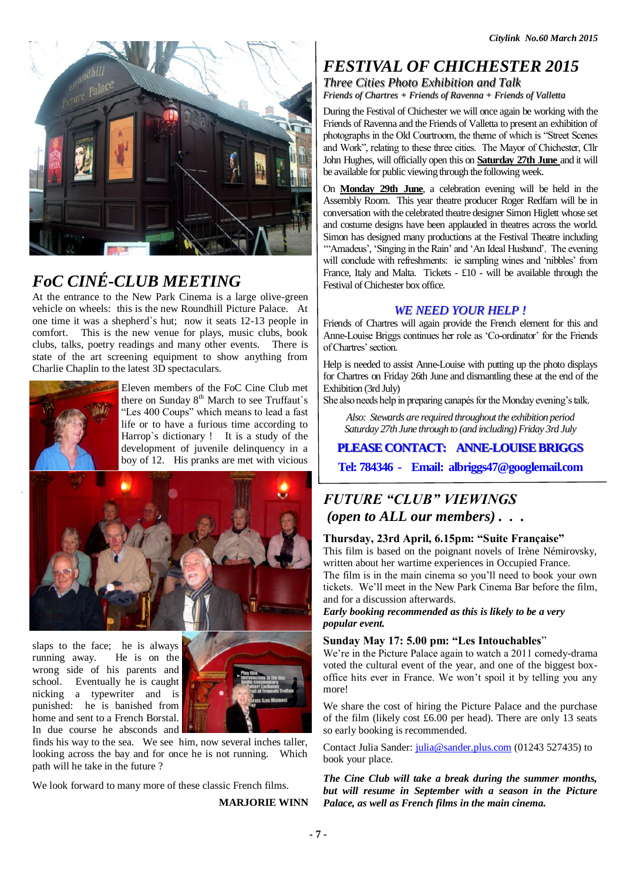

# *FoC CINÉ-CLUB MEETING*

At the entrance to the New Park Cinema is a large olive-green vehicle on wheels: this is the new Roundhill Picture Palace. At one time it was a shepherd`s hut; now it seats 12-13 people in comfort. This is the new venue for plays, music clubs, book clubs, talks, poetry readings and many other events. There is state of the art screening equipment to show anything from Charlie Chaplin to the latest 3D spectaculars.



Eleven members of the FoC Cine Club met there on Sunday 8<sup>th</sup> March to see Truffaut's "Les 400 Coups" which means to lead a fast life or to have a furious time according to Harrop`s dictionary ! It is a study of the development of juvenile delinquency in a boy of 12. His pranks are met with vicious



slaps to the face; he is always running away. He is on the wrong side of his parents and school. Eventually he is caught nicking a typewriter and is punished: he is banished from home and sent to a French Borstal. In due course he absconds and



finds his way to the sea. We see him, now several inches taller, looking across the bay and for once he is not running. Which path will he take in the future ?

We look forward to many more of these classic French films.

**MARJORIE WINN**

## *FESTIVAL OF CHICHESTER 2015*

*Three Cities Photo Exhibition and Talk*

*Friends of Chartres + Friends of Ravenna + Friends of Valletta*

During the Festival of Chichester we will once again be working with the Friends of Ravenna and the Friends of Valletta to present an exhibition of photographs in the Old Courtroom, the theme of which is "Street Scenes and Work", relating to these three cities. The Mayor of Chichester, Cllr John Hughes, will officially open this on **Saturday 27th June** and it will be available for public viewing through the following week.

On **Monday 29th June**, a celebration evening will be held in the Assembly Room. This year theatre producer Roger Redfarn will be in conversation with the celebrated theatre designer Simon Higlett whose set and costume designs have been applauded in theatres across the world. Simon has designed many productions at the Festival Theatre including

'"Amadeus', 'Singing in the Rain' and 'An Ideal Husband'. The evening will conclude with refreshments: ie sampling wines and 'nibbles' from France, Italy and Malta. Tickets - £10 - will be available through the Festival of Chichester box office.

### *WE NEED YOUR HELP !*

Friends of Chartres will again provide the French element for this and Anne-Louise Briggs continues her role as 'Co-ordinator' for the Friends of Chartres' section.

Help is needed to assist Anne-Louise with putting up the photo displays for Chartres on Friday 26th June and dismantling these at the end of the Exhibition (3rd July)

She also needs help in preparing canapés for the Monday evening's talk.

*Also: Stewards are required throughout the exhibition period Saturday 27th June through to (and including) Friday 3rd July* 

### **PLEASE CONTACT: ANNE-LOUISE BRIGGS**

**Tel: 784346 - Email: albriggs47@googlemail.com**

## *FUTURE "CLUB" VIEWINGS (open to ALL our members) . . .*

### **Thursday, 23rd April, 6.15pm: "Suite Française"**

This film is based on the poignant novels of Irène Némirovsky, written about her wartime experiences in Occupied France.

The film is in the main cinema so you'll need to book your own tickets. We'll meet in the New Park Cinema Bar before the film, and for a discussion afterwards.

*Early booking recommended as this is likely to be a very popular event.*

### **Sunday May 17: 5.00 pm: "Les Intouchables**"

We're in the Picture Palace again to watch a 2011 comedy-drama voted the cultural event of the year, and one of the biggest boxoffice hits ever in France. We won't spoil it by telling you any more!

We share the cost of hiring the Picture Palace and the purchase of the film (likely cost £6.00 per head). There are only 13 seats so early booking is recommended.

Contact Julia Sander: *julia@sander.plus.com* (01243 527435) to book your place.

*The Cine Club will take a break during the summer months, but will resume in September with a season in the Picture Palace, as well as French films in the main cinema.*